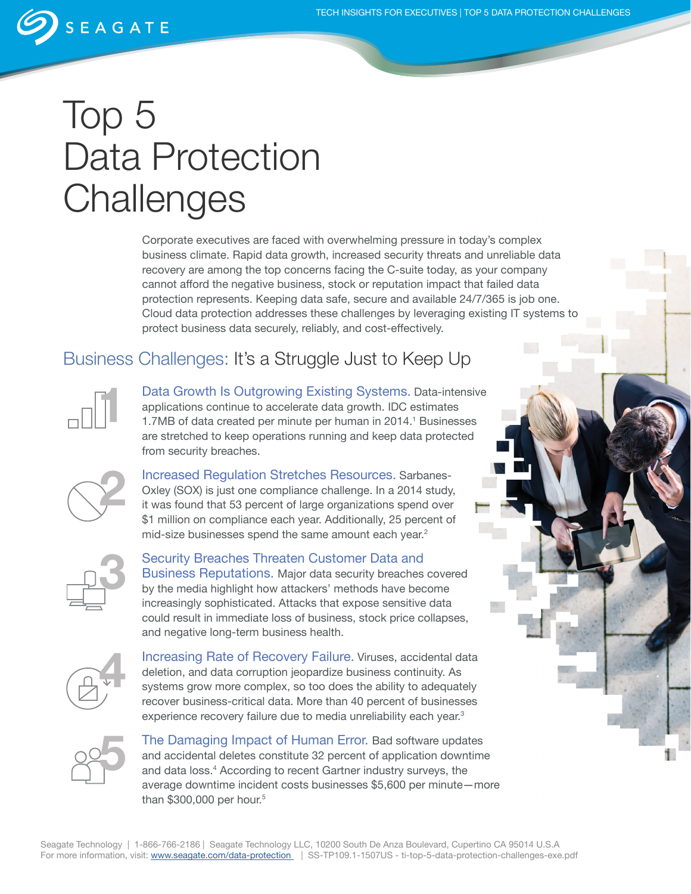## SEAGATE

# Top 5 Data Protection **Challenges**

Corporate executives are faced with overwhelming pressure in today's complex business climate. Rapid data growth, increased security threats and unreliable data recovery are among the top concerns facing the C-suite today, as your company cannot afford the negative business, stock or reputation impact that failed data protection represents. Keeping data safe, secure and available 24/7/365 is job one. Cloud data protection addresses these challenges by leveraging existing IT systems to protect business data securely, reliably, and cost-effectively.

### Business Challenges: It's a Struggle Just to Keep Up



Data Growth Is Outgrowing Existing Systems. Data-intensive applications continue to accelerate data growth. IDC estimates 1.7MB of data created per minute per human in 2014.<sup>1</sup> Businesses are stretched to keep operations running and keep data protected from security breaches.



Increased Regulation Stretches Resources. Sarbanes-Oxley (SOX) is just one compliance challenge. In a 2014 study, it was found that 53 percent of large organizations spend over \$1 million on compliance each year. Additionally, 25 percent of mid-size businesses spend the same amount each year.<sup>2</sup>



Security Breaches Threaten Customer Data and Business Reputations. Major data security breaches covered by the media highlight how attackers' methods have become increasingly sophisticated. Attacks that expose sensitive data could result in immediate loss of business, stock price collapses, and negative long-term business health.



Increasing Rate of Recovery Failure. Viruses, accidental data deletion, and data corruption jeopardize business continuity. As systems grow more complex, so too does the ability to adequately recover business-critical data. More than 40 percent of businesses experience recovery failure due to media unreliability each year.<sup>3</sup>



The Damaging Impact of Human Error. Bad software updates and accidental deletes constitute 32 percent of application downtime and data loss.<sup>4</sup> According to recent Gartner industry surveys, the average downtime incident costs businesses \$5,600 per minute—more than  $$300,000$  per hour.<sup>5</sup>